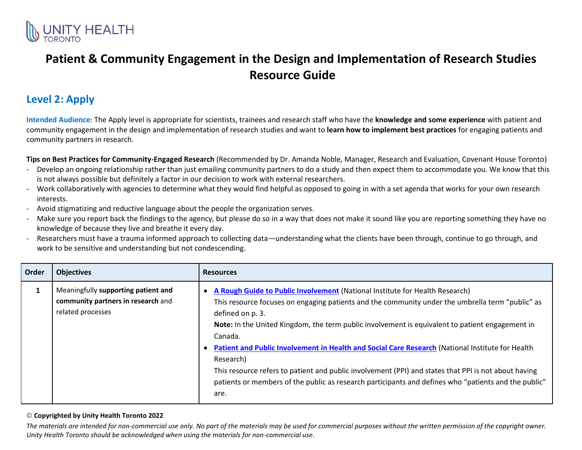

## **Patient & Community Engagement in the Design and Implementation of Research Studies Resource Guide**

## **Level 2: Apply**

**Intended Audience:** The Apply level is appropriate for scientists, trainees and research staff who have the **knowledge and some experience** with patient and community engagement in the design and implementation of research studies and want to **learn how to implement best practices** for engaging patients and community partners in research.

**Tips on Best Practices for Community-Engaged Research** (Recommended by Dr. Amanda Noble, Manager, Research and Evaluation, Covenant House Toronto)

- Develop an ongoing relationship rather than just emailing community partners to do a study and then expect them to accommodate you. We know that this is not always possible but definitely a factor in our decision to work with external researchers.
- Work collaboratively with agencies to determine what they would find helpful as opposed to going in with a set agenda that works for your own research interests.
- Avoid stigmatizing and reductive language about the people the organization serves.
- Make sure you report back the findings to the agency, but please do so in a way that does not make it sound like you are reporting something they have no knowledge of because they live and breathe it every day.
- Researchers must have a trauma informed approach to collecting data—understanding what the clients have been through, continue to go through, and work to be sensitive and understanding but not condescending.

| Order | <b>Objectives</b>                                                                              | <b>Resources</b>                                                                                                                                                                                                                                                                                                                                                                                                                                                                                                                                                                                                                                            |  |
|-------|------------------------------------------------------------------------------------------------|-------------------------------------------------------------------------------------------------------------------------------------------------------------------------------------------------------------------------------------------------------------------------------------------------------------------------------------------------------------------------------------------------------------------------------------------------------------------------------------------------------------------------------------------------------------------------------------------------------------------------------------------------------------|--|
|       | Meaningfully supporting patient and<br>community partners in research and<br>related processes | A Rough Guide to Public Involvement (National Institute for Health Research)<br>This resource focuses on engaging patients and the community under the umbrella term "public" as<br>defined on p. 3.<br>Note: In the United Kingdom, the term public involvement is equivalent to patient engagement in<br>Canada.<br>Patient and Public Involvement in Health and Social Care Research (National Institute for Health<br>Research)<br>This resource refers to patient and public involvement (PPI) and states that PPI is not about having<br>patients or members of the public as research participants and defines who "patients and the public"<br>are. |  |

## **Copyrighted by Unity Health Toronto 2022**

*The materials are intended for non-commercial use only. No part of the materials may be used for commercial purposes without the written permission of the copyright owner. Unity Health Toronto should be acknowledged when using the materials for non-commercial use.*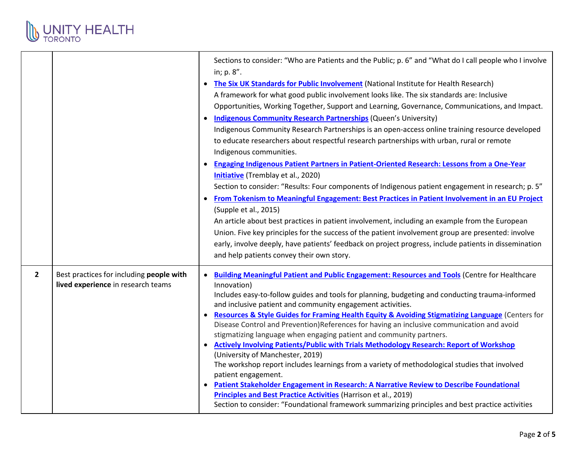

|              |                                                                                | Sections to consider: "Who are Patients and the Public; p. 6" and "What do I call people who I involve<br>in; p. 8".<br>• The Six UK Standards for Public Involvement (National Institute for Health Research)<br>A framework for what good public involvement looks like. The six standards are: Inclusive<br>Opportunities, Working Together, Support and Learning, Governance, Communications, and Impact.<br>• Indigenous Community Research Partnerships (Queen's University)<br>Indigenous Community Research Partnerships is an open-access online training resource developed<br>to educate researchers about respectful research partnerships with urban, rural or remote<br>Indigenous communities.<br><b>Engaging Indigenous Patient Partners in Patient-Oriented Research: Lessons from a One-Year</b><br>Initiative (Tremblay et al., 2020)<br>Section to consider: "Results: Four components of Indigenous patient engagement in research; p. 5"<br>• From Tokenism to Meaningful Engagement: Best Practices in Patient Involvement in an EU Project<br>(Supple et al., 2015)<br>An article about best practices in patient involvement, including an example from the European<br>Union. Five key principles for the success of the patient involvement group are presented: involve<br>early, involve deeply, have patients' feedback on project progress, include patients in dissemination<br>and help patients convey their own story. |
|--------------|--------------------------------------------------------------------------------|-----------------------------------------------------------------------------------------------------------------------------------------------------------------------------------------------------------------------------------------------------------------------------------------------------------------------------------------------------------------------------------------------------------------------------------------------------------------------------------------------------------------------------------------------------------------------------------------------------------------------------------------------------------------------------------------------------------------------------------------------------------------------------------------------------------------------------------------------------------------------------------------------------------------------------------------------------------------------------------------------------------------------------------------------------------------------------------------------------------------------------------------------------------------------------------------------------------------------------------------------------------------------------------------------------------------------------------------------------------------------------------------------------------------------------------------------------------|
| $\mathbf{2}$ | Best practices for including people with<br>lived experience in research teams | <b>• Building Meaningful Patient and Public Engagement: Resources and Tools (Centre for Healthcare</b><br>Innovation)<br>Includes easy-to-follow guides and tools for planning, budgeting and conducting trauma-informed<br>and inclusive patient and community engagement activities.<br>• Resources & Style Guides for Framing Health Equity & Avoiding Stigmatizing Language (Centers for<br>Disease Control and Prevention)References for having an inclusive communication and avoid<br>stigmatizing language when engaging patient and community partners.<br>• Actively Involving Patients/Public with Trials Methodology Research: Report of Workshop<br>(University of Manchester, 2019)<br>The workshop report includes learnings from a variety of methodological studies that involved<br>patient engagement.<br>• Patient Stakeholder Engagement in Research: A Narrative Review to Describe Foundational<br><b>Principles and Best Practice Activities (Harrison et al., 2019)</b><br>Section to consider: "Foundational framework summarizing principles and best practice activities                                                                                                                                                                                                                                                                                                                                                      |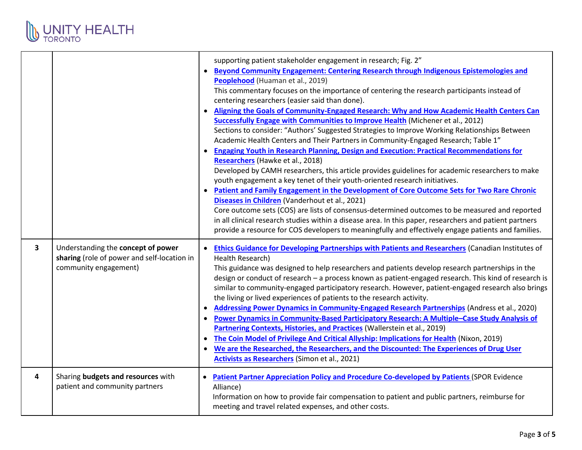

|   |                                                                                                            | supporting patient stakeholder engagement in research; Fig. 2"<br>• Beyond Community Engagement: Centering Research through Indigenous Epistemologies and<br>Peoplehood (Huaman et al., 2019)<br>This commentary focuses on the importance of centering the research participants instead of<br>centering researchers (easier said than done).<br>• Aligning the Goals of Community-Engaged Research: Why and How Academic Health Centers Can<br><b>Successfully Engage with Communities to Improve Health (Michener et al., 2012)</b><br>Sections to consider: "Authors' Suggested Strategies to Improve Working Relationships Between<br>Academic Health Centers and Their Partners in Community-Engaged Research; Table 1"<br>• Engaging Youth in Research Planning, Design and Execution: Practical Recommendations for<br>Researchers (Hawke et al., 2018)<br>Developed by CAMH researchers, this article provides guidelines for academic researchers to make<br>youth engagement a key tenet of their youth-oriented research initiatives.<br>• Patient and Family Engagement in the Development of Core Outcome Sets for Two Rare Chronic<br>Diseases in Children (Vanderhout et al., 2021)<br>Core outcome sets (COS) are lists of consensus-determined outcomes to be measured and reported<br>in all clinical research studies within a disease area. In this paper, researchers and patient partners<br>provide a resource for COS developers to meaningfully and effectively engage patients and families. |
|---|------------------------------------------------------------------------------------------------------------|-------------------------------------------------------------------------------------------------------------------------------------------------------------------------------------------------------------------------------------------------------------------------------------------------------------------------------------------------------------------------------------------------------------------------------------------------------------------------------------------------------------------------------------------------------------------------------------------------------------------------------------------------------------------------------------------------------------------------------------------------------------------------------------------------------------------------------------------------------------------------------------------------------------------------------------------------------------------------------------------------------------------------------------------------------------------------------------------------------------------------------------------------------------------------------------------------------------------------------------------------------------------------------------------------------------------------------------------------------------------------------------------------------------------------------------------------------------------------------------------------------------------------|
| 3 | Understanding the concept of power<br>sharing (role of power and self-location in<br>community engagement) | • Ethics Guidance for Developing Partnerships with Patients and Researchers (Canadian Institutes of<br>Health Research)<br>This guidance was designed to help researchers and patients develop research partnerships in the<br>design or conduct of research - a process known as patient-engaged research. This kind of research is<br>similar to community-engaged participatory research. However, patient-engaged research also brings<br>the living or lived experiences of patients to the research activity.<br>• Addressing Power Dynamics in Community-Engaged Research Partnerships (Andress et al., 2020)<br>• Power Dynamics in Community-Based Participatory Research: A Multiple-Case Study Analysis of<br>Partnering Contexts, Histories, and Practices (Wallerstein et al., 2019)<br>• The Coin Model of Privilege And Critical Allyship: Implications for Health (Nixon, 2019)<br>• We are the Researched, the Researchers, and the Discounted: The Experiences of Drug User<br>Activists as Researchers (Simon et al., 2021)                                                                                                                                                                                                                                                                                                                                                                                                                                                                          |
| 4 | Sharing budgets and resources with<br>patient and community partners                                       | • Patient Partner Appreciation Policy and Procedure Co-developed by Patients (SPOR Evidence<br>Alliance)<br>Information on how to provide fair compensation to patient and public partners, reimburse for<br>meeting and travel related expenses, and other costs.                                                                                                                                                                                                                                                                                                                                                                                                                                                                                                                                                                                                                                                                                                                                                                                                                                                                                                                                                                                                                                                                                                                                                                                                                                                      |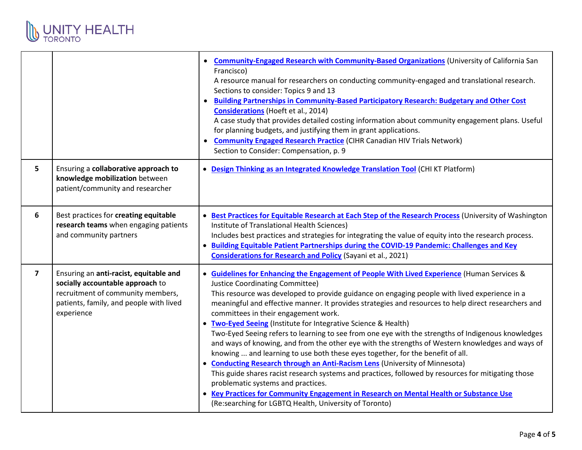

|                |                                                                                                                                                                          | • Community-Engaged Research with Community-Based Organizations (University of California San<br>Francisco)<br>A resource manual for researchers on conducting community-engaged and translational research.<br>Sections to consider: Topics 9 and 13<br><b>Building Partnerships in Community-Based Participatory Research: Budgetary and Other Cost</b><br><b>Considerations</b> (Hoeft et al., 2014)<br>A case study that provides detailed costing information about community engagement plans. Useful<br>for planning budgets, and justifying them in grant applications.<br>• Community Engaged Research Practice (CIHR Canadian HIV Trials Network)<br>Section to Consider: Compensation, p. 9                                                                                                                                                                                                                                                                                                                                                                                                                               |
|----------------|--------------------------------------------------------------------------------------------------------------------------------------------------------------------------|--------------------------------------------------------------------------------------------------------------------------------------------------------------------------------------------------------------------------------------------------------------------------------------------------------------------------------------------------------------------------------------------------------------------------------------------------------------------------------------------------------------------------------------------------------------------------------------------------------------------------------------------------------------------------------------------------------------------------------------------------------------------------------------------------------------------------------------------------------------------------------------------------------------------------------------------------------------------------------------------------------------------------------------------------------------------------------------------------------------------------------------|
| 5              | Ensuring a collaborative approach to<br>knowledge mobilization between<br>patient/community and researcher                                                               | • Design Thinking as an Integrated Knowledge Translation Tool (CHI KT Platform)                                                                                                                                                                                                                                                                                                                                                                                                                                                                                                                                                                                                                                                                                                                                                                                                                                                                                                                                                                                                                                                      |
| 6              | Best practices for creating equitable<br>research teams when engaging patients<br>and community partners                                                                 | • Best Practices for Equitable Research at Each Step of the Research Process (University of Washington<br>Institute of Translational Health Sciences)<br>Includes best practices and strategies for integrating the value of equity into the research process.<br>• Building Equitable Patient Partnerships during the COVID-19 Pandemic: Challenges and Key<br><b>Considerations for Research and Policy (Sayani et al., 2021)</b>                                                                                                                                                                                                                                                                                                                                                                                                                                                                                                                                                                                                                                                                                                  |
| $\overline{7}$ | Ensuring an anti-racist, equitable and<br>socially accountable approach to<br>recruitment of community members,<br>patients, family, and people with lived<br>experience | • Guidelines for Enhancing the Engagement of People With Lived Experience (Human Services &<br><b>Justice Coordinating Committee)</b><br>This resource was developed to provide guidance on engaging people with lived experience in a<br>meaningful and effective manner. It provides strategies and resources to help direct researchers and<br>committees in their engagement work.<br>• Two-Eyed Seeing (Institute for Integrative Science & Health)<br>Two-Eyed Seeing refers to learning to see from one eye with the strengths of Indigenous knowledges<br>and ways of knowing, and from the other eye with the strengths of Western knowledges and ways of<br>knowing  and learning to use both these eyes together, for the benefit of all.<br>• Conducting Research through an Anti-Racism Lens (University of Minnesota)<br>This guide shares racist research systems and practices, followed by resources for mitigating those<br>problematic systems and practices.<br>• Key Practices for Community Engagement in Research on Mental Health or Substance Use<br>(Re:searching for LGBTQ Health, University of Toronto) |